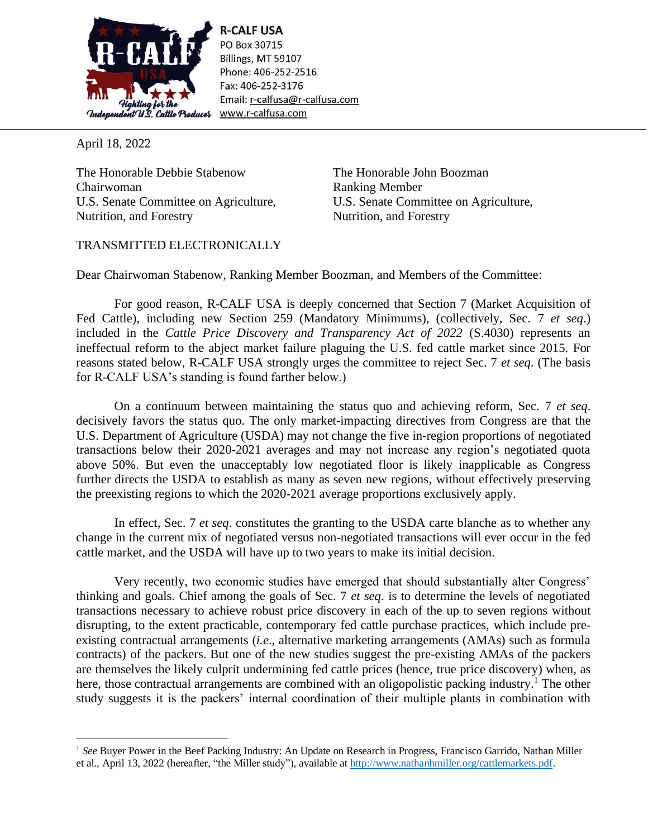

**R-CALF USA** PO Box 30715 Billings, MT 59107 Phone: 406-252-2516 Fax: 406-252-3176 Email: r-calfusa@r-calfusa.com www.r-calfusa.com

April 18, 2022

The Honorable Debbie Stabenow Chairwoman U.S. Senate Committee on Agriculture, Nutrition, and Forestry

The Honorable John Boozman Ranking Member U.S. Senate Committee on Agriculture, Nutrition, and Forestry

## TRANSMITTED ELECTRONICALLY

Dear Chairwoman Stabenow, Ranking Member Boozman, and Members of the Committee:

For good reason, R-CALF USA is deeply concerned that Section 7 (Market Acquisition of Fed Cattle), including new Section 259 (Mandatory Minimums), (collectively, Sec. 7 *et seq*.) included in the *Cattle Price Discovery and Transparency Act of 2022* (S.4030) represents an ineffectual reform to the abject market failure plaguing the U.S. fed cattle market since 2015. For reasons stated below, R-CALF USA strongly urges the committee to reject Sec. 7 *et seq*. (The basis for R-CALF USA's standing is found farther below.)

On a continuum between maintaining the status quo and achieving reform, Sec. 7 *et seq*. decisively favors the status quo. The only market-impacting directives from Congress are that the U.S. Department of Agriculture (USDA) may not change the five in-region proportions of negotiated transactions below their 2020-2021 averages and may not increase any region's negotiated quota above 50%. But even the unacceptably low negotiated floor is likely inapplicable as Congress further directs the USDA to establish as many as seven new regions, without effectively preserving the preexisting regions to which the 2020-2021 average proportions exclusively apply.

In effect, Sec. 7 *et seq*. constitutes the granting to the USDA carte blanche as to whether any change in the current mix of negotiated versus non-negotiated transactions will ever occur in the fed cattle market, and the USDA will have up to two years to make its initial decision.

Very recently, two economic studies have emerged that should substantially alter Congress' thinking and goals. Chief among the goals of Sec. 7 *et seq*. is to determine the levels of negotiated transactions necessary to achieve robust price discovery in each of the up to seven regions without disrupting, to the extent practicable, contemporary fed cattle purchase practices, which include preexisting contractual arrangements (*i.e*., alternative marketing arrangements (AMAs) such as formula contracts) of the packers. But one of the new studies suggest the pre-existing AMAs of the packers are themselves the likely culprit undermining fed cattle prices (hence, true price discovery) when, as here, those contractual arrangements are combined with an oligopolistic packing industry.<sup>1</sup> The other study suggests it is the packers' internal coordination of their multiple plants in combination with

<sup>&</sup>lt;sup>1</sup> See Buyer Power in the Beef Packing Industry: An Update on Research in Progress, Francisco Garrido, Nathan Miller et al., April 13, 2022 (hereafter, "the Miller study"), available at [http://www.nathanhmiller.org/cattlemarkets.pdf.](http://www.nathanhmiller.org/cattlemarkets.pdf)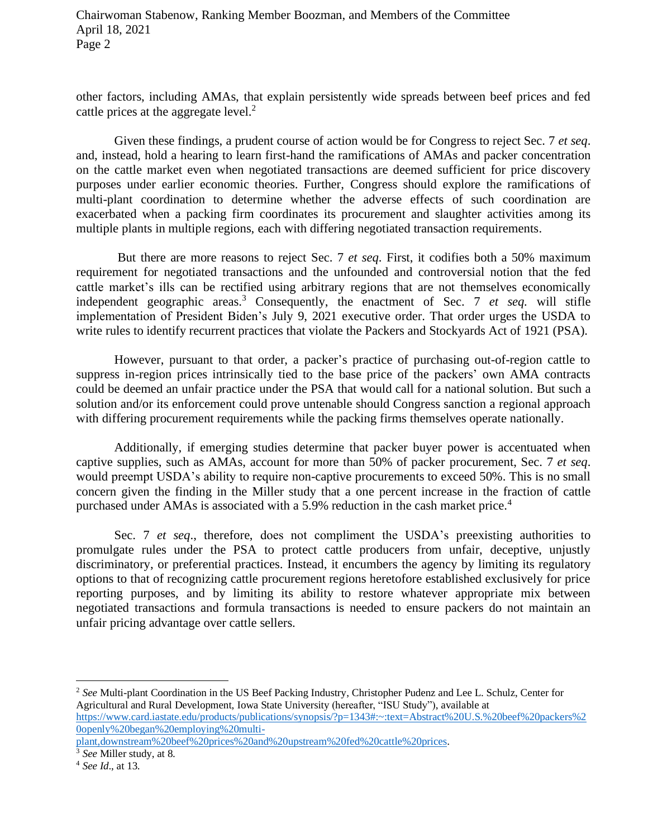Chairwoman Stabenow, Ranking Member Boozman, and Members of the Committee April 18, 2021 Page 2

other factors, including AMAs, that explain persistently wide spreads between beef prices and fed cattle prices at the aggregate level. $2$ 

Given these findings, a prudent course of action would be for Congress to reject Sec. 7 *et seq*. and, instead, hold a hearing to learn first-hand the ramifications of AMAs and packer concentration on the cattle market even when negotiated transactions are deemed sufficient for price discovery purposes under earlier economic theories. Further, Congress should explore the ramifications of multi-plant coordination to determine whether the adverse effects of such coordination are exacerbated when a packing firm coordinates its procurement and slaughter activities among its multiple plants in multiple regions, each with differing negotiated transaction requirements.

But there are more reasons to reject Sec. 7 *et seq*. First, it codifies both a 50% maximum requirement for negotiated transactions and the unfounded and controversial notion that the fed cattle market's ills can be rectified using arbitrary regions that are not themselves economically independent geographic areas. <sup>3</sup> Consequently, the enactment of Sec. 7 *et seq.* will stifle implementation of President Biden's July 9, 2021 executive order. That order urges the USDA to write rules to identify recurrent practices that violate the Packers and Stockyards Act of 1921 (PSA).

However, pursuant to that order, a packer's practice of purchasing out-of-region cattle to suppress in-region prices intrinsically tied to the base price of the packers' own AMA contracts could be deemed an unfair practice under the PSA that would call for a national solution. But such a solution and/or its enforcement could prove untenable should Congress sanction a regional approach with differing procurement requirements while the packing firms themselves operate nationally.

Additionally, if emerging studies determine that packer buyer power is accentuated when captive supplies, such as AMAs, account for more than 50% of packer procurement, Sec. 7 *et seq*. would preempt USDA's ability to require non-captive procurements to exceed 50%. This is no small concern given the finding in the Miller study that a one percent increase in the fraction of cattle purchased under AMAs is associated with a 5.9% reduction in the cash market price.<sup>4</sup>

Sec. 7 *et seq.*, therefore, does not compliment the USDA's preexisting authorities to promulgate rules under the PSA to protect cattle producers from unfair, deceptive, unjustly discriminatory, or preferential practices. Instead, it encumbers the agency by limiting its regulatory options to that of recognizing cattle procurement regions heretofore established exclusively for price reporting purposes, and by limiting its ability to restore whatever appropriate mix between negotiated transactions and formula transactions is needed to ensure packers do not maintain an unfair pricing advantage over cattle sellers.

<sup>2</sup> *See* Multi-plant Coordination in the US Beef Packing Industry, Christopher Pudenz and Lee L. Schulz, Center for Agricultural and Rural Development, Iowa State University (hereafter, "ISU Study"), available at [https://www.card.iastate.edu/products/publications/synopsis/?p=1343#:~:text=Abstract%20U.S.%20beef%20packers%2](https://www.card.iastate.edu/products/publications/synopsis/?p=1343#:~:text=Abstract%20U.S.%20beef%20packers%20openly%20began%20employing%20multi-plant,downstream%20beef%20prices%20and%20upstream%20fed%20cattle%20prices) [0openly%20began%20employing%20multi-](https://www.card.iastate.edu/products/publications/synopsis/?p=1343#:~:text=Abstract%20U.S.%20beef%20packers%20openly%20began%20employing%20multi-plant,downstream%20beef%20prices%20and%20upstream%20fed%20cattle%20prices)

[plant,downstream%20beef%20prices%20and%20upstream%20fed%20cattle%20prices.](https://www.card.iastate.edu/products/publications/synopsis/?p=1343#:~:text=Abstract%20U.S.%20beef%20packers%20openly%20began%20employing%20multi-plant,downstream%20beef%20prices%20and%20upstream%20fed%20cattle%20prices)

<sup>3</sup> *See* Miller study, at 8.

<sup>4</sup> *See Id*., at 13.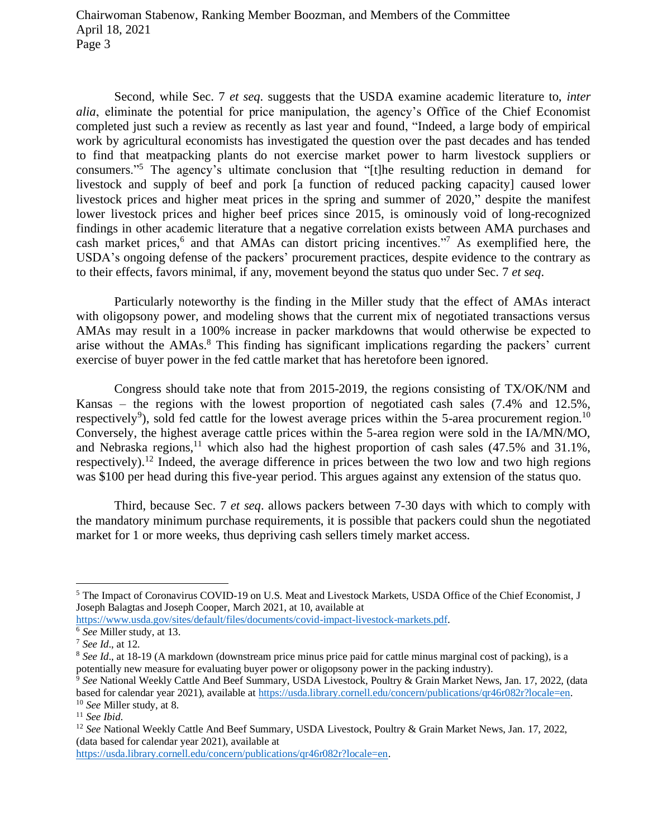Second, while Sec. 7 *et seq*. suggests that the USDA examine academic literature to, *inter alia*, eliminate the potential for price manipulation, the agency's Office of the Chief Economist completed just such a review as recently as last year and found, "Indeed, a large body of empirical work by agricultural economists has investigated the question over the past decades and has tended to find that meatpacking plants do not exercise market power to harm livestock suppliers or consumers."<sup>5</sup> The agency's ultimate conclusion that "[t]he resulting reduction in demand for livestock and supply of beef and pork [a function of reduced packing capacity] caused lower livestock prices and higher meat prices in the spring and summer of 2020," despite the manifest lower livestock prices and higher beef prices since 2015, is ominously void of long-recognized findings in other academic literature that a negative correlation exists between AMA purchases and cash market prices, $6$  and that AMAs can distort pricing incentives."<sup>7</sup> As exemplified here, the USDA's ongoing defense of the packers' procurement practices, despite evidence to the contrary as to their effects, favors minimal, if any, movement beyond the status quo under Sec. 7 *et seq*.

Particularly noteworthy is the finding in the Miller study that the effect of AMAs interact with oligopsony power, and modeling shows that the current mix of negotiated transactions versus AMAs may result in a 100% increase in packer markdowns that would otherwise be expected to arise without the AMAs.<sup>8</sup> This finding has significant implications regarding the packers' current exercise of buyer power in the fed cattle market that has heretofore been ignored.

Congress should take note that from 2015-2019, the regions consisting of TX/OK/NM and Kansas – the regions with the lowest proportion of negotiated cash sales (7.4% and 12.5%, respectively<sup>9</sup>), sold fed cattle for the lowest average prices within the 5-area procurement region.<sup>10</sup> Conversely, the highest average cattle prices within the 5-area region were sold in the IA/MN/MO, and Nebraska regions,<sup>11</sup> which also had the highest proportion of cash sales  $(47.5\%$  and  $31.1\%$ , respectively).<sup>12</sup> Indeed, the average difference in prices between the two low and two high regions was \$100 per head during this five-year period. This argues against any extension of the status quo.

Third, because Sec. 7 *et seq*. allows packers between 7-30 days with which to comply with the mandatory minimum purchase requirements, it is possible that packers could shun the negotiated market for 1 or more weeks, thus depriving cash sellers timely market access.

[https://usda.library.cornell.edu/concern/publications/qr46r082r?locale=en.](https://usda.library.cornell.edu/concern/publications/qr46r082r?locale=en)

<sup>5</sup> The Impact of Coronavirus COVID-19 on U.S. Meat and Livestock Markets, USDA Office of the Chief Economist, J Joseph Balagtas and Joseph Cooper, March 2021, at 10, available at

[https://www.usda.gov/sites/default/files/documents/covid-impact-livestock-markets.pdf.](https://www.usda.gov/sites/default/files/documents/covid-impact-livestock-markets.pdf)

<sup>6</sup> *See* Miller study, at 13.

<sup>7</sup> *See Id*., at 12.

<sup>8</sup> *See Id*., at 18-19 (A markdown (downstream price minus price paid for cattle minus marginal cost of packing), is a potentially new measure for evaluating buyer power or oligopsony power in the packing industry).

<sup>&</sup>lt;sup>9</sup> See National Weekly Cattle And Beef Summary, USDA Livestock, Poultry & Grain Market News, Jan. 17, 2022, (data based for calendar year 2021), available at [https://usda.library.cornell.edu/concern/publications/qr46r082r?locale=en.](https://usda.library.cornell.edu/concern/publications/qr46r082r?locale=en) <sup>10</sup> *See* Miller study, at 8.

<sup>11</sup> *See Ibid*.

<sup>&</sup>lt;sup>12</sup> See National Weekly Cattle And Beef Summary, USDA Livestock, Poultry & Grain Market News, Jan. 17, 2022, (data based for calendar year 2021), available at